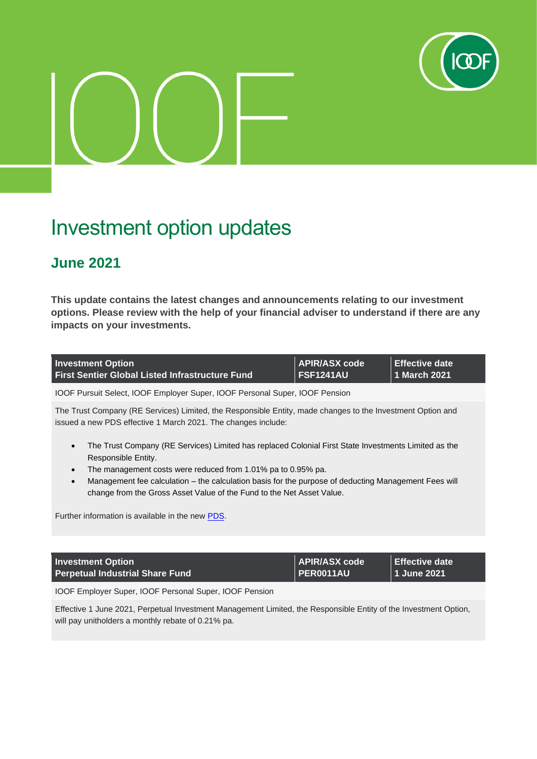

## Investment option updates

## **June 2021**

**This update contains the latest changes and announcements relating to our investment options. Please review with the help of your financial adviser to understand if there are any impacts on your investments.**

| <b>Investment Option</b>                               | APIR/ASX code    | <b>∣ Effective date</b> ' |
|--------------------------------------------------------|------------------|---------------------------|
| <b>First Sentier Global Listed Infrastructure Fund</b> | <b>FSF1241AU</b> | /∣ 1 March 2021.          |

IOOF Pursuit Select, IOOF Employer Super, IOOF Personal Super, IOOF Pension

The Trust Company (RE Services) Limited, the Responsible Entity, made changes to the Investment Option and issued a new PDS effective 1 March 2021. The changes include:

- The Trust Company (RE Services) Limited has replaced Colonial First State Investments Limited as the Responsible Entity.
- The management costs were reduced from 1.01% pa to 0.95% pa.
- Management fee calculation the calculation basis for the purpose of deducting Management Fees will change from the Gross Asset Value of the Fund to the Net Asset Value.

Further information is available in the new [PDS.](https://www.ioof.com.au/__data/assets/pdf_file/0010/436807/2021-03-01-First-Sentier-Global-Listed-Infrastructure-Fund.pdf)

| <b>Investment Option</b>               | APIR/ASX code    | Effective date |
|----------------------------------------|------------------|----------------|
| <b>Perpetual Industrial Share Fund</b> | <b>PER0011AU</b> | 1 June 2021    |

IOOF Employer Super, IOOF Personal Super, IOOF Pension

Effective 1 June 2021, Perpetual Investment Management Limited, the Responsible Entity of the Investment Option, will pay unitholders a monthly rebate of 0.21% pa.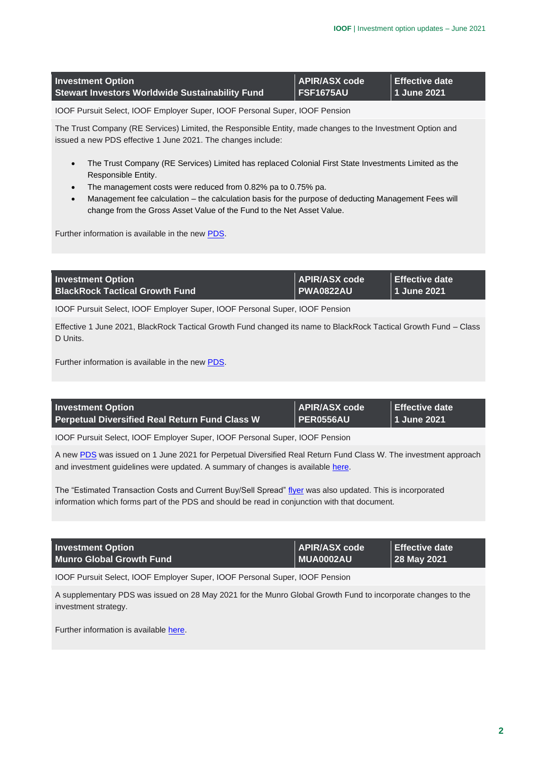| <b>Investment Option</b>                               | APIR/ASX code    | Effective date |
|--------------------------------------------------------|------------------|----------------|
| <b>Stewart Investors Worldwide Sustainability Fund</b> | <b>FSF1675AU</b> | 1 June 2021    |

The Trust Company (RE Services) Limited, the Responsible Entity, made changes to the Investment Option and issued a new PDS effective 1 June 2021. The changes include:

- The Trust Company (RE Services) Limited has replaced Colonial First State Investments Limited as the Responsible Entity.
- The management costs were reduced from 0.82% pa to 0.75% pa.
- Management fee calculation the calculation basis for the purpose of deducting Management Fees will change from the Gross Asset Value of the Fund to the Net Asset Value.

Further information is available in the new [PDS.](https://www.ioof.com.au/__data/assets/pdf_file/0008/436814/2021-06-01-Stewart-Investors-Worldwide-Sustainability-Fund-PDS.pdf)

| <b>Investment Option</b>              | APIR/ASX code    | Effective date |
|---------------------------------------|------------------|----------------|
| <b>BlackRock Tactical Growth Fund</b> | <b>PWA0822AU</b> | 11 June 2021   |

IOOF Pursuit Select, IOOF Employer Super, IOOF Personal Super, IOOF Pension

Effective 1 June 2021, BlackRock Tactical Growth Fund changed its name to BlackRock Tactical Growth Fund – Class D Units.

Further information is available in the new [PDS.](https://www.ioof.com.au/__data/assets/pdf_file/0003/436809/2021-06-01-BlackRock-Tactical-Growth-Fund-PDS.pdf)

| APIR/ASX code<br><b>Effective date</b><br><b>Investment Option</b>                                             |  |
|----------------------------------------------------------------------------------------------------------------|--|
|                                                                                                                |  |
| $\overline{\phantom{a}}$ PER0556AU<br>  1 June 2021<br><b>Perpetual Diversified Real Return Fund Class W \</b> |  |

IOOF Pursuit Select, IOOF Employer Super, IOOF Personal Super, IOOF Pension

A ne[w PDS](https://www.ioof.com.au/__data/assets/pdf_file/0007/436813/2021-06-01-Perpetual-PDS.pdf) was issued on 1 June 2021 for Perpetual Diversified Real Return Fund Class W. The investment approach and investment guidelines were updated. A summary of changes is available [here.](https://www.ioof.com.au/__data/assets/pdf_file/0005/436811/2021-06-01-Perpetual-changes.pdf)

The "Estimated Transaction Costs and Current Buy/Sell Spread[" flyer](https://www.ioof.com.au/__data/assets/pdf_file/0006/436812/2021-06-01-Perpetual-costs-flyer.pdf) was also updated. This is incorporated information which forms part of the PDS and should be read in conjunction with that document.

| <b>Investment Option</b>        | APIR/ASX code            | Effective date |
|---------------------------------|--------------------------|----------------|
| <b>Munro Global Growth Fund</b> | $\blacksquare$ MUA0002AU | 28 May 2021    |

IOOF Pursuit Select, IOOF Employer Super, IOOF Personal Super, IOOF Pension

A supplementary PDS was issued on 28 May 2021 for the Munro Global Growth Fund to incorporate changes to the investment strategy.

Further information is availabl[e here.](https://www.ioof.com.au/__data/assets/pdf_file/0011/436808/2021-05-28-Munro-Global-Growth-Fund-PDS.pdf)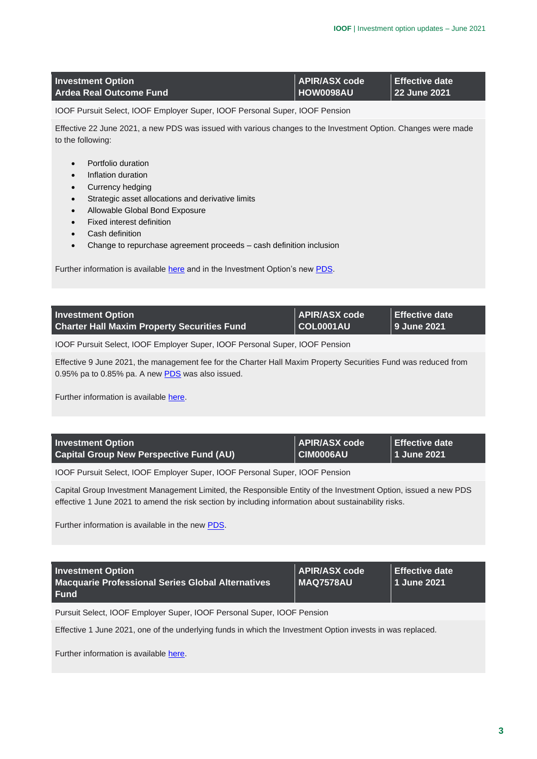| <b>Investment Option</b>       | APIR/ASX code            | <b>LEffective date</b> |
|--------------------------------|--------------------------|------------------------|
| <b>Ardea Real Outcome Fund</b> | $\blacksquare$ HOW0098AU | 22 June 2021           |

Effective 22 June 2021, a new PDS was issued with various changes to the Investment Option. Changes were made to the following:

- Portfolio duration
- Inflation duration
- Currency hedging
- Strategic asset allocations and derivative limits
- Allowable Global Bond Exposure
- Fixed interest definition
- Cash definition
- Change to repurchase agreement proceeds cash definition inclusion

Further information is availabl[e here](https://www.ioof.com.au/__data/assets/pdf_file/0003/436818/2021-06-22-Ardea-Real-Outcome-Fund-investor-notice.pdf) and in the Investment Option's new [PDS.](https://www.ioof.com.au/__data/assets/pdf_file/0004/436819/2021-06-22-Ardea-Real-Outcome-Fund-PDS.pdf)

| <b>APIR/ASX</b> code<br><b>Investment Option</b><br>$ $ COL0001AU $ $<br><b>Charter Hall Maxim Property Securities Fund</b> | Effective date<br>9 June 2021 |
|-----------------------------------------------------------------------------------------------------------------------------|-------------------------------|
|-----------------------------------------------------------------------------------------------------------------------------|-------------------------------|

IOOF Pursuit Select, IOOF Employer Super, IOOF Personal Super, IOOF Pension

Effective 9 June 2021, the management fee for the Charter Hall Maxim Property Securities Fund was reduced from 0.95% pa to 0.85% pa. A new [PDS](https://www.ioof.com.au/__data/assets/pdf_file/0011/436817/2021-06-07-Charter-Hall-Maxim-Securities-Fund-PDS.pdf) was also issued.

Further information is availabl[e here.](https://www.ioof.com.au/__data/assets/pdf_file/0010/436816/2021-06-07-Charter-Hall-Maxim-investor-notice.pdf)

| <b>Investment Option</b>                       | <b>APIR/ASX code</b> | Effective date |
|------------------------------------------------|----------------------|----------------|
| <b>Capital Group New Perspective Fund (AU)</b> | <b>CIM0006AU</b>     | 1 June 2021    |

IOOF Pursuit Select, IOOF Employer Super, IOOF Personal Super, IOOF Pension

Capital Group Investment Management Limited, the Responsible Entity of the Investment Option, issued a new PDS effective 1 June 2021 to amend the risk section by including information about sustainability risks.

Further information is available in the new [PDS.](https://www.ioof.com.au/__data/assets/pdf_file/0004/436810/2021-06-01-Capital-Group-New-Perspective-Fund-PDS.pdf)

| <b>Investment Option</b><br><b>Macquarie Professional Series Global Alternatives</b><br><b>Fund</b> | <b>APIR/ASX code</b><br>  MAQ7578AU | <b>Effective date</b><br>1 June 2021 |
|-----------------------------------------------------------------------------------------------------|-------------------------------------|--------------------------------------|
| Pursuit Select, IOOF Employer Super, IOOF Personal Super, IOOF Pension                              |                                     |                                      |

Effective 1 June 2021, one of the underlying funds in which the Investment Option invests in was replaced.

Further information is availabl[e here.](https://www.ioof.com.au/__data/assets/pdf_file/0006/437964/2021-06-01-Macquarie-Professional-Series-Global-Alternatives-Fund.pdf)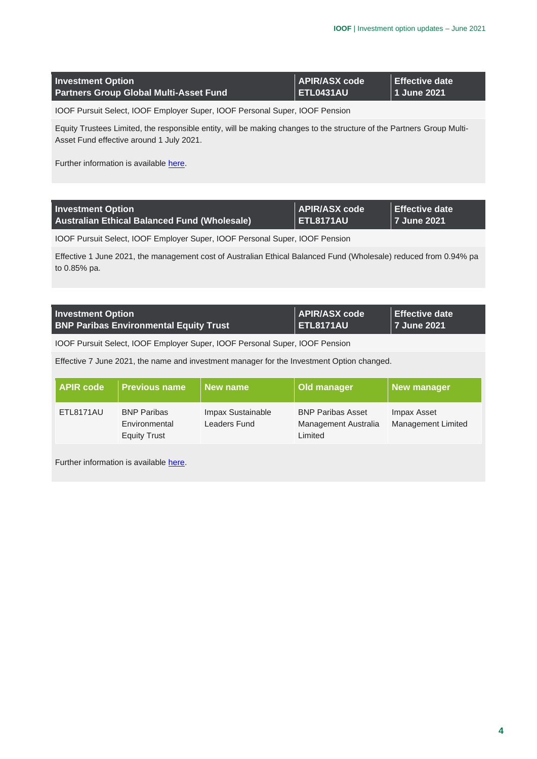| <b>Investment Option</b>                      | APIR/ASX code    | Effective date |
|-----------------------------------------------|------------------|----------------|
| <b>Partners Group Global Multi-Asset Fund</b> | <b>ETL0431AU</b> | 1 June 2021    |

Equity Trustees Limited, the responsible entity, will be making changes to the structure of the Partners Group Multi-Asset Fund effective around 1 July 2021.

Further information is availabl[e here.](https://www.ioof.com.au/__data/assets/pdf_file/0008/437957/2021-06-01-Partners-Group-update.pdf)

| <b>Investment Option</b>                            | APIR/ASX code    | Effective date |
|-----------------------------------------------------|------------------|----------------|
| <b>Australian Ethical Balanced Fund (Wholesale)</b> | <b>ETL8171AU</b> | 17 June 2021   |

IOOF Pursuit Select, IOOF Employer Super, IOOF Personal Super, IOOF Pension

Effective 1 June 2021, the management cost of Australian Ethical Balanced Fund (Wholesale) reduced from 0.94% pa to 0.85% pa.

| <b>Investment Option</b>                      | APIR/ASX code    | Effective date |
|-----------------------------------------------|------------------|----------------|
| <b>BNP Paribas Environmental Equity Trust</b> | <b>ETL8171AU</b> | 7 June 2021    |

IOOF Pursuit Select, IOOF Employer Super, IOOF Personal Super, IOOF Pension

Effective 7 June 2021, the name and investment manager for the Investment Option changed.

| APIR code | <b>Previous name</b>                                       | New name                          | Old manager                                                 | <b>New manager</b>                       |
|-----------|------------------------------------------------------------|-----------------------------------|-------------------------------------------------------------|------------------------------------------|
| ETL8171AU | <b>BNP Paribas</b><br>Environmental<br><b>Equity Trust</b> | Impax Sustainable<br>Leaders Fund | <b>BNP Paribas Asset</b><br>Management Australia<br>Limited | Impax Asset<br><b>Management Limited</b> |

Further information is availabl[e here.](https://www.ioof.com.au/__data/assets/pdf_file/0009/436815/2021-06-07-BNP-Paribas-Environmental-Trust-notice.pdf)